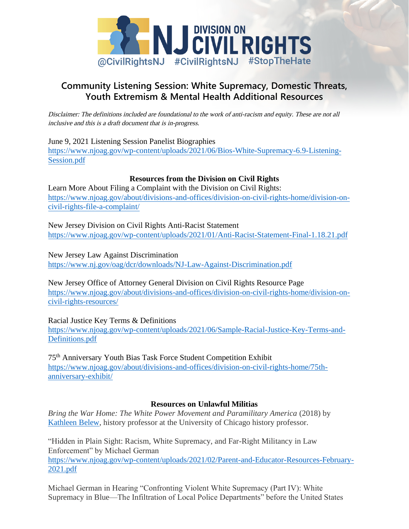

# **Community Listening Session: White Supremacy, Domestic Threats, Youth Extremism & Mental Health Additional Resources**

[Disclaimer: The definitions included are foundational to the work of anti-racism and equity. These are not all](https://www.njoag.gov/wp-content/uploads/2021/06/Bios-White-Supremacy-6.9-Listening-Session.pdf)  [inclusive and t](https://www.njoag.gov/wp-content/uploads/2021/06/Bios-White-Supremacy-6.9-Listening-Session.pdf)his is a draft document that is in-progress.

June 9, 2021 Listening Session Panelist Biographies https://www.njoag.gov/wp-content/uploads/2021/06/Bios-White-Supremacy-6.9-Listening-[Session.pdf](https://www.njoag.gov/about/divisions-and-offices/division-on-civil-rights-home/division-on-civil-rights-file-a-complaint/)

## **[Res](https://www.njoag.gov/about/divisions-and-offices/division-on-civil-rights-home/division-on-civil-rights-file-a-complaint/)ources from the Division on Civil Rights**

Learn More About Filing a Complaint with the Division on Civil Rights: [https://www.njoag.gov/about/divisions-and-offices/division-on-civil-rights-home/division-on](https://www.njoag.gov/wp-content/uploads/2021/01/Anti-Racist-Statement-Final-1.18.21.pdf)civil-rights-file-a-complaint/

[New Jersey Division on Civil Rights Anti-Racist Statement](https://www.nj.gov/oag/dcr/downloads/NJ-Law-Against-Discrimination.pdf)  https://www.njoag.gov/wp-content/uploads/2021/01/Anti-Racist-Statement-Final-1.18.21.pdf

[New Jersey Law Against Discrimination](https://www.njoag.gov/about/divisions-and-offices/division-on-civil-rights-home/division-on-civil-rights-resources/) [https://www.nj.gov/oag](https://www.njoag.gov/about/divisions-and-offices/division-on-civil-rights-home/division-on-civil-rights-resources/)/dcr/downloads/NJ-Law-Against-Discrimination.pdf

New Jersey Office of Attorney General Division on Civil Rights Resource Page [https://www.njoag.gov/about/divisions-and-offices/division-on-civil-rights-home/division-on](https://www.njoag.gov/wp-content/uploads/2021/06/Sample-Racial-Justice-Key-Terms-and-Definitions.pdf)[civil-rights-reso](https://www.njoag.gov/wp-content/uploads/2021/06/Sample-Racial-Justice-Key-Terms-and-Definitions.pdf)urces/

Racial Justice Key Terms & Definitions

[https://www.njoag.gov/wp-content/uploads/2021/06/Sample-Racial-Justice-Key-Terms-and-](https://www.njoag.gov/about/divisions-and-offices/division-on-civil-rights-home/75th-anniversary-exhibit/)[Definitions.pdf](https://www.njoag.gov/about/divisions-and-offices/division-on-civil-rights-home/75th-anniversary-exhibit/)

75th Anniversary Youth Bias Task Force Student Competition Exhibit https://www.njoag.gov/about/divisions-and-offices/division-on-civil-rights-home/75thanniversary-exhibit/

# **Resources on Unlawful Militias**

*Bring the War Home: The White Power Movement and Paramilitary America* (2018) by Kathleen [Belew, history professor at the University of Chicago history professor.](https://www.njoag.gov/wp-content/uploads/2021/02/Parent-and-Educator-Resources-February-2021.pdf)

["Hidden i](https://www.njoag.gov/wp-content/uploads/2021/02/Parent-and-Educator-Resources-February-2021.pdf)n Plain Sight: Racism, White Supremacy, and Far-Right Militancy in Law Enforcement" by Michael German https://www.njoag.gov/wp-content/uploads/2021/02/Parent-and-Educator-Resources-February-2021.pdf

Michael German in Hearing "Confronting Violent White Supremacy (Part IV): White Supremacy in Blue—The Infiltration of Local Police Departments" before the United States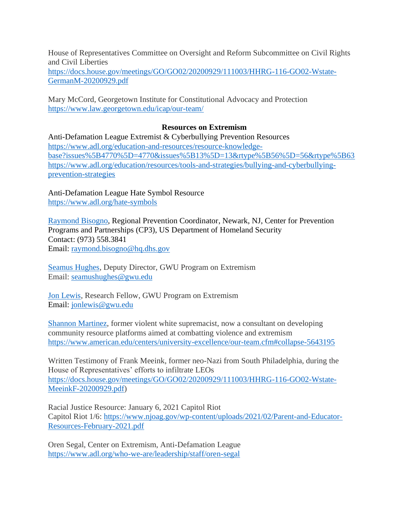House of Representatives Committee on Oversight and Reform Subcommittee on Civil Rights and Civil Liberties

[https://docs.house.gov/meetings/GO/GO02/20200929/111003/HHRG-116-GO02-Wstate-](https://docs.house.gov/meetings/GO/GO02/20200929/111003/HHRG-116-GO02-Wstate-GermanM-20200929.pdf)[GermanM-20200929.pdf](https://docs.house.gov/meetings/GO/GO02/20200929/111003/HHRG-116-GO02-Wstate-GermanM-20200929.pdf)

Mary McCord, Georgetown Institute for Constitutional Advocacy and Protection <https://www.law.georgetown.edu/icap/our-team/>

## **Resources on Extremism**

Anti-Defamation League Extremist & Cyberbullying Prevention Resources [https://www.adl.org/education-and-resources/resource-knowledge](https://www.adl.org/education-and-resources/resource-knowledge-base?issues%5B4770%5D=4770&issues%5B13%5D=13&rtype%5B56%5D=56&rtype%5B63)[base?issues%5B4770%5D=4770&issues%5B13%5D=13&rtype%5B56%5D=56&rtype%5B63](https://www.adl.org/education-and-resources/resource-knowledge-base?issues%5B4770%5D=4770&issues%5B13%5D=13&rtype%5B56%5D=56&rtype%5B63) [https://www.adl.org/education/resources/tools-and-strategies/bullying-and-cyberbullying](https://www.adl.org/education/resources/tools-and-strategies/bullying-and-cyberbullying-prevention-strategies)[prevention-strategies](https://www.adl.org/education/resources/tools-and-strategies/bullying-and-cyberbullying-prevention-strategies)

Anti-Defamation League Hate Symbol Resource <https://www.adl.org/hate-symbols>

[Raymond Bisogno,](http://www.dhs.gov/cp3) Regional Prevention Coordinator, Newark, NJ, Center for Prevention Programs and Partnerships (CP3), US Department of Homeland Security Contact: (973) 558.3841 Email: [raymond.bisogno@hq.dhs.gov](mailto:raymond.bisogno@hq.dhs.gov)

[Seamus Hughes,](https://extremism.gwu.edu/seamus-hughes) Deputy Director, GWU Program on Extremism Email: [seamushughes@gwu.edu](mailto:seamushughes@gwu.edu)

[Jon Lewis,](https://extremism.gwu.edu/jon-lewis) Research Fellow, GWU Program on Extremism Email: [jonlewis@gwu.edu](mailto:jonlewis@gwu.edu)

[Shannon Martinez,](https://www.american.edu/centers/university-excellence/our-team.cfm#collapse-5643195) former violent white supremacist, now a consultant on developing community resource platforms aimed at combatting violence and extremism <https://www.american.edu/centers/university-excellence/our-team.cfm#collapse-5643195>

Written Testimony of Frank Meeink, former neo-Nazi from South Philadelphia, during the House of Representatives' efforts to infiltrate LEOs [https://docs.house.gov/meetings/GO/GO02/20200929/111003/HHRG-116-GO02-Wstate-](https://docs.house.gov/meetings/GO/GO02/20200929/111003/HHRG-116-GO02-Wstate-MeeinkF-20200929.pdf)[MeeinkF-20200929.pdf\)](https://docs.house.gov/meetings/GO/GO02/20200929/111003/HHRG-116-GO02-Wstate-MeeinkF-20200929.pdf)

Racial Justice Resource: January 6, 2021 Capitol Riot Capitol Riot 1/6: [https://www.njoag.gov/wp-content/uploads/2021/02/Parent-and-Educator-](https://www.njoag.gov/wp-content/uploads/2021/02/Parent-and-Educator-Resources-February-2021.pdf)[Resources-February-2021.pdf](https://www.njoag.gov/wp-content/uploads/2021/02/Parent-and-Educator-Resources-February-2021.pdf)

Oren Segal, Center on Extremism, Anti-Defamation League <https://www.adl.org/who-we-are/leadership/staff/oren-segal>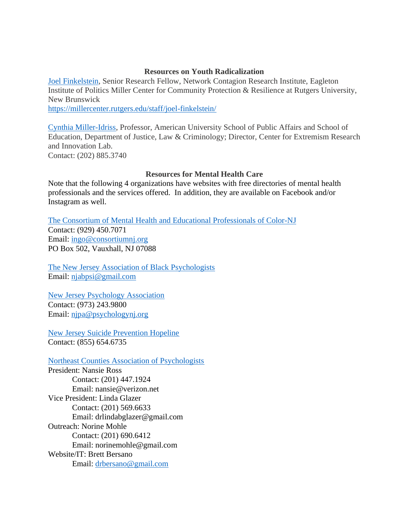#### **Resources on Youth Radicalization**

[Joel Finkelstein,](https://millercenter.rutgers.edu/staff/joel-finkelstein/) Senior Research Fellow, Network Contagion Research Institute, Eagleton Institute of Politics Miller Center for Community Protection & Resilience at Rutgers University, New Brunswick

<https://millercenter.rutgers.edu/staff/joel-finkelstein/>

[Cynthia Miller-Idriss,](https://www.american.edu/spa/faculty/cynthia.cfm) Professor, American University School of Public Affairs and School of Education, Department of Justice, Law & Criminology; Director, Center for Extremism Research and Innovation Lab. Contact: (202) 885.3740

## **Resources for Mental Health Care**

Note that the following 4 organizations have websites with free directories of mental health professionals and the services offered. In addition, they are available on Facebook and/or Instagram as well.

The Consortium of Mental Health and Educational [Professionals of Color-NJ](https://consortiumnj.org/) Contact: (929) 450.7071 Email: [ingo@consortiumnj.org](mailto:ingo@consortiumnj.org) PO Box 502, Vauxhall, NJ 07088

[The New Jersey Association](https://www.njabpsi.org/) of Black Psychologists Email: [njabpsi@gmail.com](mailto:njabpsi@gmail.com)

[New Jersey Psychology Association](https://www.psychologynj.org/) Contact: (973) 243.9800 Email: [njpa@psychologynj.org](mailto:njpa@psychologynj.org)

[New Jersey Suicide Prevention Hopeline](http://www.njhopeline.com/) Contact: (855) 654.6735

[Northeast Counties Association of Psychologists](https://northeastnjpsychassoc.org/)

President: Nansie Ross Contact: (201) 447.1924 Email: nansie@verizon.net Vice President: Linda Glazer Contact: (201) 569.6633 Email: drlindabglazer@gmail.com Outreach: Norine Mohle Contact: (201) 690.6412 Email: norinemohle@gmail.com Website/IT: Brett Bersano Email: [drbersano@gmail.com](mailto:drbersano@gmail.com)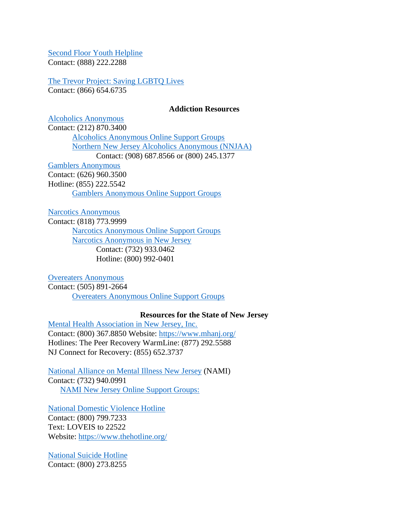[Second Floor Youth Helpline](http://www.2ndfloor.org/) Contact: (888) 222.2288

[The Trevor Project: Saving LGBTQ Lives](http://www.thetrevorproject.org/)

Contact: (866) 654.6735

#### **Addiction Resources**

[Alcoholics Anonymous](https://aa.org/) Contact: (212) 870.3400 [Alcoholics Anonymous Online Support Groups](https://aa-intergroup.org/) [Northern New Jersey Alcoholics Anonymous \(NNJAA\)](https://www.nnjaa.org/) Contact: (908) 687.8566 or (800) 245.1377 [Gamblers Anonymous](https://www.gamblersanonymous.org/ga/) Contact: (626) 960.3500 Hotline: (855) 222.5542

[Gamblers Anonymous Online Support Groups](https://area12ga.com/)

[Narcotics Anonymous](https://na.org/)

Contact: (818) 773.9999 [Narcotics Anonymous Online Support Groups](https://virtual-na.org/meetings/) [Narcotics Anonymous in New Jersey](https://nanj.org/) Contact: (732) 933.0462 Hotline: (800) 992-0401

[Overeaters Anonymous](https://oa.org/) Contact: (505) 891-2664 [Overeaters Anonymous Online Support Groups](https://oa.org/find-a-meeting/?type=1)

## **Resources for the State of New Jersey**

[Mental Health Association in New Jersey, Inc.](https://www.mhanj.org/) Contact: (800) 367.8850 Website:<https://www.mhanj.org/> Hotlines: The Peer Recovery WarmLine: (877) 292.5588 NJ Connect for Recovery: (855) 652.3737

[National Alliance on Mental Illness New Jersey](https://www.naminj.org/online-support-groups/) (NAMI) Contact: (732) 940.0991 [NAMI New Jersey Online Support Groups:](http://www.naminj.org/online-support-groups/)

[National Domestic Violence Hotline](https://www.thehotline.org/) Contact: (800) 799.7233 Text: LOVEIS to 22522 Website:<https://www.thehotline.org/>

[National Suicide Hotline](https://suicidepreventionlifeline.org/) Contact: (800) 273.8255